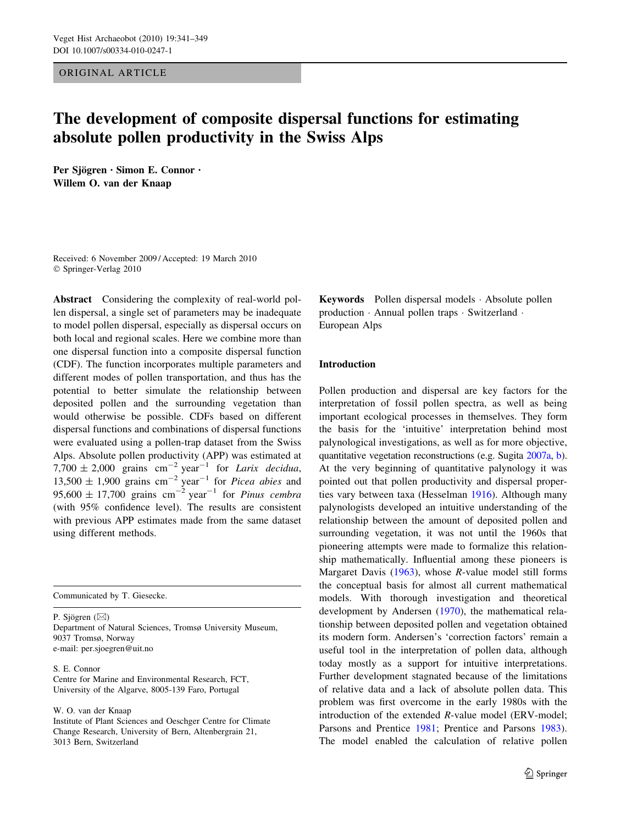ORIGINAL ARTICLE

# The development of composite dispersal functions for estimating absolute pollen productivity in the Swiss Alps

Per Sjögren · Simon E. Connor · Willem O. van der Knaap

Received: 6 November 2009 / Accepted: 19 March 2010 © Springer-Verlag 2010

Abstract Considering the complexity of real-world pollen dispersal, a single set of parameters may be inadequate to model pollen dispersal, especially as dispersal occurs on both local and regional scales. Here we combine more than one dispersal function into a composite dispersal function (CDF). The function incorporates multiple parameters and different modes of pollen transportation, and thus has the potential to better simulate the relationship between deposited pollen and the surrounding vegetation than would otherwise be possible. CDFs based on different dispersal functions and combinations of dispersal functions were evaluated using a pollen-trap dataset from the Swiss Alps. Absolute pollen productivity (APP) was estimated at 7,700  $\pm$  2,000 grains cm<sup>-2</sup> year<sup>-1</sup> for *Larix decidua*,  $13,500 \pm 1,900$  grains cm<sup>-2</sup> year<sup>-1</sup> for *Picea abies* and 95,600  $\pm$  17,700 grains cm<sup>-2</sup> year<sup>-1</sup> for *Pinus cembra* (with 95% confidence level). The results are consistent with previous APP estimates made from the same dataset using different methods.

Communicated by T. Giesecke.

P. Sjögren  $(\boxtimes)$ Department of Natural Sciences, Tromsø University Museum, 9037 Tromsø, Norway e-mail: per.sjoegren@uit.no

## S. E. Connor

Centre for Marine and Environmental Research, FCT, University of the Algarve, 8005-139 Faro, Portugal

W. O. van der Knaap

Institute of Plant Sciences and Oeschger Centre for Climate Change Research, University of Bern, Altenbergrain 21, 3013 Bern, Switzerland

Keywords Pollen dispersal models - Absolute pollen production - Annual pollen traps - Switzerland - European Alps

## Introduction

Pollen production and dispersal are key factors for the interpretation of fossil pollen spectra, as well as being important ecological processes in themselves. They form the basis for the 'intuitive' interpretation behind most palynological investigations, as well as for more objective, quantitative vegetation reconstructions (e.g. Sugita [2007a,](#page-8-0) [b\)](#page-8-0). At the very beginning of quantitative palynology it was pointed out that pollen productivity and dispersal properties vary between taxa (Hesselman [1916\)](#page-7-0). Although many palynologists developed an intuitive understanding of the relationship between the amount of deposited pollen and surrounding vegetation, it was not until the 1960s that pioneering attempts were made to formalize this relationship mathematically. Influential among these pioneers is Margaret Davis  $(1963)$  $(1963)$ , whose R-value model still forms the conceptual basis for almost all current mathematical models. With thorough investigation and theoretical development by Andersen ([1970\)](#page-7-0), the mathematical relationship between deposited pollen and vegetation obtained its modern form. Andersen's 'correction factors' remain a useful tool in the interpretation of pollen data, although today mostly as a support for intuitive interpretations. Further development stagnated because of the limitations of relative data and a lack of absolute pollen data. This problem was first overcome in the early 1980s with the introduction of the extended R-value model (ERV-model; Parsons and Prentice [1981;](#page-8-0) Prentice and Parsons [1983](#page-8-0)). The model enabled the calculation of relative pollen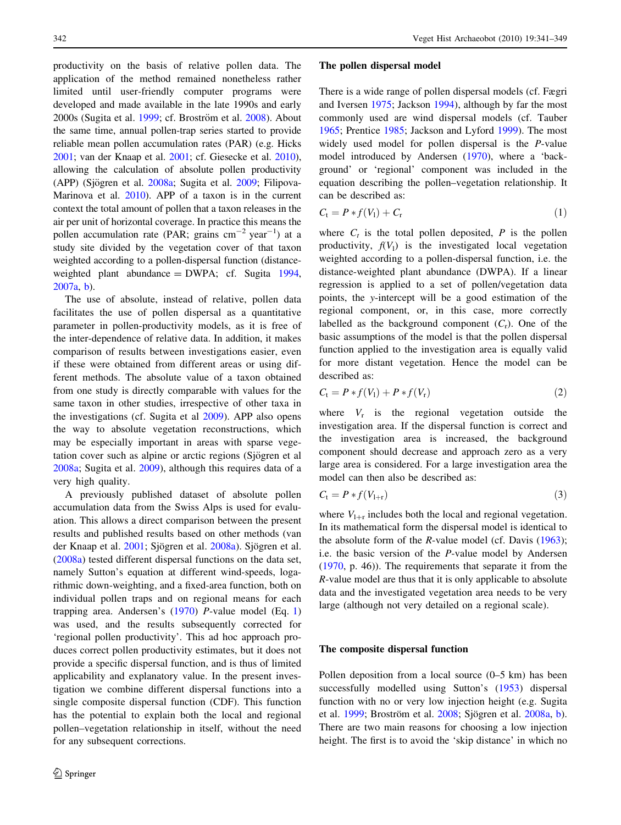productivity on the basis of relative pollen data. The application of the method remained nonetheless rather limited until user-friendly computer programs were developed and made available in the late 1990s and early  $2000s$  (Sugita et al. [1999;](#page-8-0) cf. Broström et al.  $2008$ ). About the same time, annual pollen-trap series started to provide reliable mean pollen accumulation rates (PAR) (e.g. Hicks [2001;](#page-8-0) van der Knaap et al. [2001;](#page-8-0) cf. Giesecke et al. [2010](#page-7-0)), allowing the calculation of absolute pollen productivity (APP) (Sjögren et al. [2008a](#page-8-0); Sugita et al. [2009](#page-8-0); Filipova-Marinova et al. [2010\)](#page-7-0). APP of a taxon is in the current context the total amount of pollen that a taxon releases in the air per unit of horizontal coverage. In practice this means the pollen accumulation rate (PAR; grains  $cm^{-2}$  year<sup>-1</sup>) at a study site divided by the vegetation cover of that taxon weighted according to a pollen-dispersal function (distanceweighted plant abundance  $=$  DWPA; cf. Sugita [1994,](#page-8-0) [2007a,](#page-8-0) [b\)](#page-8-0).

The use of absolute, instead of relative, pollen data facilitates the use of pollen dispersal as a quantitative parameter in pollen-productivity models, as it is free of the inter-dependence of relative data. In addition, it makes comparison of results between investigations easier, even if these were obtained from different areas or using different methods. The absolute value of a taxon obtained from one study is directly comparable with values for the same taxon in other studies, irrespective of other taxa in the investigations (cf. Sugita et al [2009\)](#page-8-0). APP also opens the way to absolute vegetation reconstructions, which may be especially important in areas with sparse vegetation cover such as alpine or arctic regions (Sjögren et al [2008a](#page-8-0); Sugita et al. [2009](#page-8-0)), although this requires data of a very high quality.

A previously published dataset of absolute pollen accumulation data from the Swiss Alps is used for evaluation. This allows a direct comparison between the present results and published results based on other methods (van der Knaap et al. [2001;](#page-8-0) Sjögren et al. [2008a](#page-8-0)). Sjögren et al. [\(2008a\)](#page-8-0) tested different dispersal functions on the data set, namely Sutton's equation at different wind-speeds, logarithmic down-weighting, and a fixed-area function, both on individual pollen traps and on regional means for each trapping area. Andersen's ([1970\)](#page-7-0) P-value model (Eq. 1) was used, and the results subsequently corrected for 'regional pollen productivity'. This ad hoc approach produces correct pollen productivity estimates, but it does not provide a specific dispersal function, and is thus of limited applicability and explanatory value. In the present investigation we combine different dispersal functions into a single composite dispersal function (CDF). This function has the potential to explain both the local and regional pollen–vegetation relationship in itself, without the need for any subsequent corrections.

#### The pollen dispersal model

There is a wide range of pollen dispersal models (cf. Fægri and Iversen [1975;](#page-7-0) Jackson [1994](#page-8-0)), although by far the most commonly used are wind dispersal models (cf. Tauber [1965](#page-8-0); Prentice [1985](#page-8-0); Jackson and Lyford [1999](#page-8-0)). The most widely used model for pollen dispersal is the P-value model introduced by Andersen ([1970](#page-7-0)), where a 'background' or 'regional' component was included in the equation describing the pollen–vegetation relationship. It can be described as:

$$
C_{t} = P * f(V_{1}) + C_{r} \tag{1}
$$

where  $C_t$  is the total pollen deposited, P is the pollen productivity,  $f(V_1)$  is the investigated local vegetation weighted according to a pollen-dispersal function, i.e. the distance-weighted plant abundance (DWPA). If a linear regression is applied to a set of pollen/vegetation data points, the y-intercept will be a good estimation of the regional component, or, in this case, more correctly labelled as the background component  $(C_r)$ . One of the basic assumptions of the model is that the pollen dispersal function applied to the investigation area is equally valid for more distant vegetation. Hence the model can be described as:

$$
C_{t} = P * f(V_{1}) + P * f(V_{r})
$$
\n(2)

where  $V_r$  is the regional vegetation outside the investigation area. If the dispersal function is correct and the investigation area is increased, the background component should decrease and approach zero as a very large area is considered. For a large investigation area the model can then also be described as:

$$
C_{t} = P * f(V_{1+r})
$$
\n<sup>(3)</sup>

where  $V_{1+r}$  includes both the local and regional vegetation. In its mathematical form the dispersal model is identical to the absolute form of the  $R$ -value model (cf. Davis  $(1963)$  $(1963)$ ; i.e. the basic version of the P-value model by Andersen [\(1970](#page-7-0), p. 46)). The requirements that separate it from the R-value model are thus that it is only applicable to absolute data and the investigated vegetation area needs to be very large (although not very detailed on a regional scale).

# The composite dispersal function

Pollen deposition from a local source (0–5 km) has been successfully modelled using Sutton's [\(1953](#page-8-0)) dispersal function with no or very low injection height (e.g. Sugita et al. [1999;](#page-8-0) Broström et al. [2008;](#page-7-0) Sjögren et al. [2008a,](#page-8-0) [b](#page-8-0)). There are two main reasons for choosing a low injection height. The first is to avoid the 'skip distance' in which no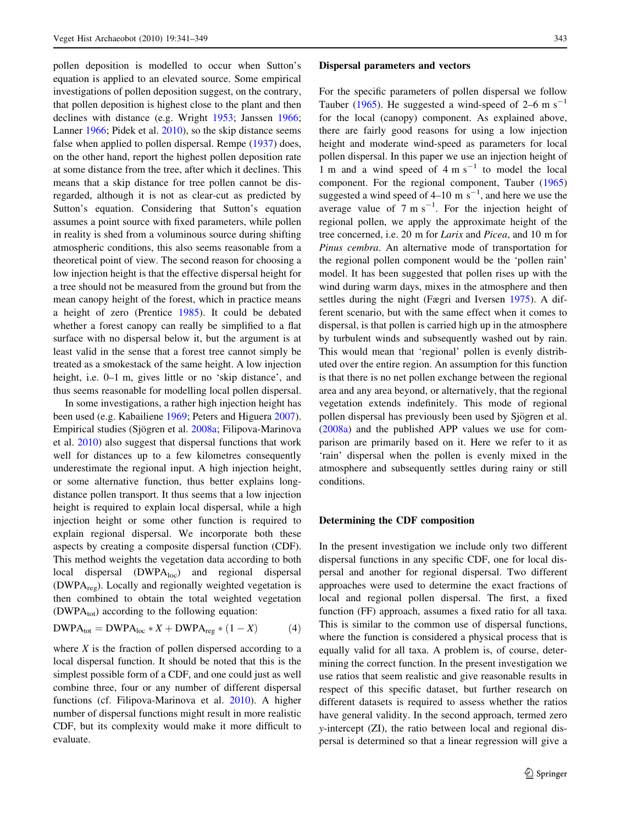pollen deposition is modelled to occur when Sutton's equation is applied to an elevated source. Some empirical investigations of pollen deposition suggest, on the contrary, that pollen deposition is highest close to the plant and then declines with distance (e.g. Wright [1953;](#page-8-0) Janssen [1966](#page-8-0); Lanner [1966;](#page-8-0) Pidek et al. [2010](#page-8-0)), so the skip distance seems false when applied to pollen dispersal. Rempe [\(1937](#page-8-0)) does, on the other hand, report the highest pollen deposition rate at some distance from the tree, after which it declines. This means that a skip distance for tree pollen cannot be disregarded, although it is not as clear-cut as predicted by Sutton's equation. Considering that Sutton's equation assumes a point source with fixed parameters, while pollen in reality is shed from a voluminous source during shifting atmospheric conditions, this also seems reasonable from a theoretical point of view. The second reason for choosing a low injection height is that the effective dispersal height for a tree should not be measured from the ground but from the mean canopy height of the forest, which in practice means a height of zero (Prentice [1985](#page-8-0)). It could be debated whether a forest canopy can really be simplified to a flat surface with no dispersal below it, but the argument is at least valid in the sense that a forest tree cannot simply be treated as a smokestack of the same height. A low injection height, i.e. 0–1 m, gives little or no 'skip distance', and thus seems reasonable for modelling local pollen dispersal.

In some investigations, a rather high injection height has been used (e.g. Kabailiene [1969](#page-8-0); Peters and Higuera [2007](#page-8-0)). Empirical studies (Sjögren et al. [2008a](#page-8-0); Filipova-Marinova et al. [2010](#page-7-0)) also suggest that dispersal functions that work well for distances up to a few kilometres consequently underestimate the regional input. A high injection height, or some alternative function, thus better explains longdistance pollen transport. It thus seems that a low injection height is required to explain local dispersal, while a high injection height or some other function is required to explain regional dispersal. We incorporate both these aspects by creating a composite dispersal function (CDF). This method weights the vegetation data according to both local dispersal (DWPA<sub>loc</sub>) and regional dispersal (DWP $A_{res}$ ). Locally and regionally weighted vegetation is then combined to obtain the total weighted vegetation  $(DWPA<sub>tot</sub>)$  according to the following equation:

$$
DWPA_{\text{tot}} = DWPA_{\text{loc}} * X + DWPA_{\text{reg}} * (1 - X)
$$
 (4)

where  $X$  is the fraction of pollen dispersed according to a local dispersal function. It should be noted that this is the simplest possible form of a CDF, and one could just as well combine three, four or any number of different dispersal functions (cf. Filipova-Marinova et al. [2010](#page-7-0)). A higher number of dispersal functions might result in more realistic CDF, but its complexity would make it more difficult to evaluate.

#### Dispersal parameters and vectors

For the specific parameters of pollen dispersal we follow Tauber ([1965\)](#page-8-0). He suggested a wind-speed of 2–6 m s<sup>-1</sup> for the local (canopy) component. As explained above, there are fairly good reasons for using a low injection height and moderate wind-speed as parameters for local pollen dispersal. In this paper we use an injection height of 1 m and a wind speed of 4 m  $s^{-1}$  to model the local component. For the regional component, Tauber ([1965\)](#page-8-0) suggested a wind speed of  $4-10 \text{ m s}^{-1}$ , and here we use the average value of  $7 \text{ m s}^{-1}$ . For the injection height of regional pollen, we apply the approximate height of the tree concerned, i.e. 20 m for Larix and Picea, and 10 m for Pinus cembra. An alternative mode of transportation for the regional pollen component would be the 'pollen rain' model. It has been suggested that pollen rises up with the wind during warm days, mixes in the atmosphere and then settles during the night (Fægri and Iversen [1975\)](#page-7-0). A different scenario, but with the same effect when it comes to dispersal, is that pollen is carried high up in the atmosphere by turbulent winds and subsequently washed out by rain. This would mean that 'regional' pollen is evenly distributed over the entire region. An assumption for this function is that there is no net pollen exchange between the regional area and any area beyond, or alternatively, that the regional vegetation extends indefinitely. This mode of regional pollen dispersal has previously been used by Sjögren et al. [\(2008a\)](#page-8-0) and the published APP values we use for comparison are primarily based on it. Here we refer to it as 'rain' dispersal when the pollen is evenly mixed in the atmosphere and subsequently settles during rainy or still conditions.

## Determining the CDF composition

In the present investigation we include only two different dispersal functions in any specific CDF, one for local dispersal and another for regional dispersal. Two different approaches were used to determine the exact fractions of local and regional pollen dispersal. The first, a fixed function (FF) approach, assumes a fixed ratio for all taxa. This is similar to the common use of dispersal functions, where the function is considered a physical process that is equally valid for all taxa. A problem is, of course, determining the correct function. In the present investigation we use ratios that seem realistic and give reasonable results in respect of this specific dataset, but further research on different datasets is required to assess whether the ratios have general validity. In the second approach, termed zero y-intercept (ZI), the ratio between local and regional dispersal is determined so that a linear regression will give a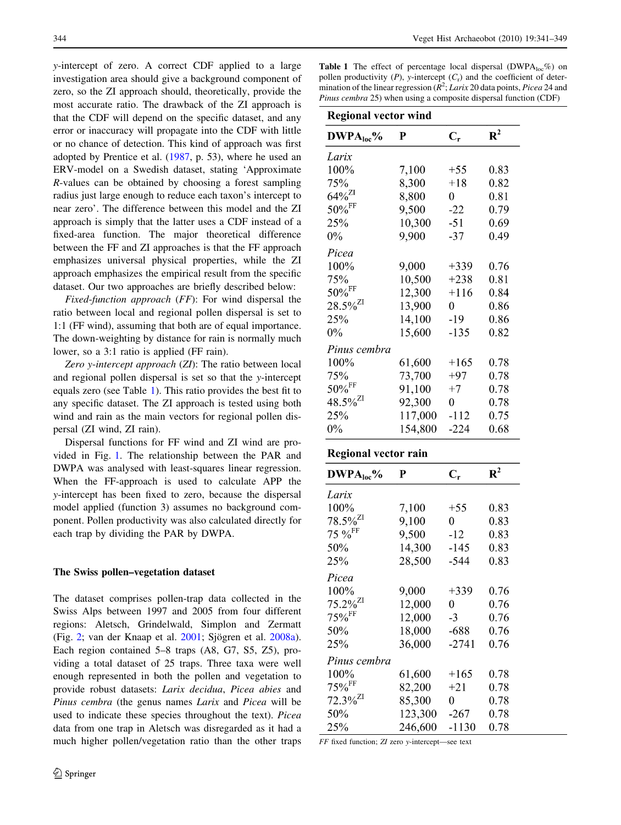<span id="page-3-0"></span>y-intercept of zero. A correct CDF applied to a large investigation area should give a background component of zero, so the ZI approach should, theoretically, provide the most accurate ratio. The drawback of the ZI approach is that the CDF will depend on the specific dataset, and any error or inaccuracy will propagate into the CDF with little or no chance of detection. This kind of approach was first adopted by Prentice et al. [\(1987](#page-8-0), p. 53), where he used an ERV-model on a Swedish dataset, stating 'Approximate R-values can be obtained by choosing a forest sampling radius just large enough to reduce each taxon's intercept to near zero'. The difference between this model and the ZI approach is simply that the latter uses a CDF instead of a fixed-area function. The major theoretical difference between the FF and ZI approaches is that the FF approach emphasizes universal physical properties, while the ZI approach emphasizes the empirical result from the specific dataset. Our two approaches are briefly described below:

Fixed-function approach (FF): For wind dispersal the ratio between local and regional pollen dispersal is set to 1:1 (FF wind), assuming that both are of equal importance. The down-weighting by distance for rain is normally much lower, so a 3:1 ratio is applied (FF rain).

Zero y-intercept approach (ZI): The ratio between local and regional pollen dispersal is set so that the y-intercept equals zero (see Table 1). This ratio provides the best fit to any specific dataset. The ZI approach is tested using both wind and rain as the main vectors for regional pollen dispersal (ZI wind, ZI rain).

Dispersal functions for FF wind and ZI wind are provided in Fig. [1.](#page-4-0) The relationship between the PAR and DWPA was analysed with least-squares linear regression. When the FF-approach is used to calculate APP the y-intercept has been fixed to zero, because the dispersal model applied (function 3) assumes no background component. Pollen productivity was also calculated directly for each trap by dividing the PAR by DWPA.

#### The Swiss pollen–vegetation dataset

The dataset comprises pollen-trap data collected in the Swiss Alps between 1997 and 2005 from four different regions: Aletsch, Grindelwald, Simplon and Zermatt (Fig. [2](#page-4-0); van der Knaap et al.  $2001$ ; Sjögren et al.  $2008a$ ). Each region contained 5–8 traps (A8, G7, S5, Z5), providing a total dataset of 25 traps. Three taxa were well enough represented in both the pollen and vegetation to provide robust datasets: Larix decidua, Picea abies and Pinus cembra (the genus names Larix and Picea will be used to indicate these species throughout the text). Picea data from one trap in Aletsch was disregarded as it had a much higher pollen/vegetation ratio than the other traps

**Table 1** The effect of percentage local dispersal (DWPA $_{loc}\%$ ) on pollen productivity  $(P)$ , y-intercept  $(C_r)$  and the coefficient of determination of the linear regression  $(R^2; Larix 20$  data points, *Picea* 24 and Pinus cembra 25) when using a composite dispersal function (CDF)

| <b>Regional vector wind</b> |           |                           |             |  |
|-----------------------------|-----------|---------------------------|-------------|--|
| $DWPAloc$ %                 | ${\bf P}$ | $\mathbf{C}_{\mathbf{r}}$ | ${\bf R}^2$ |  |
| Larix                       |           |                           |             |  |
| 100%                        | 7,100     | $+55$                     | 0.83        |  |
| 75%                         | 8,300     | $+18$                     | 0.82        |  |
| $64\%^{ZI}$                 | 8,800     | 0                         | 0.81        |  |
| $50\%^{\rm FF}$             | 9,500     | $-22$                     | 0.79        |  |
| 25%                         | 10,300    | $-51$                     | 0.69        |  |
| 0%                          | 9,900     | $-37$                     | 0.49        |  |
| Picea                       |           |                           |             |  |
| 100%                        | 9,000     | $+339$                    | 0.76        |  |
| 75%                         | 10,500    | $+238$                    | 0.81        |  |
| $50\%^{\text{FF}}$          | 12,300    | $+116$                    | 0.84        |  |
| $28.5\%^{ZI}$               | 13,900    | $\boldsymbol{0}$          | 0.86        |  |
| 25%                         | 14,100    | $-19$                     | 0.86        |  |
| 0%                          | 15,600    | $-135$                    | 0.82        |  |
| Pinus cembra                |           |                           |             |  |
| 100%                        | 61,600    | $+165$                    | 0.78        |  |
| 75%                         | 73,700    | $+97$                     | 0.78        |  |
| $50\%^{\text{FF}}$          | 91,100    | $+7$                      | 0.78        |  |
| $48.5\%^{21}$               | 92,300    | $\boldsymbol{0}$          | 0.78        |  |
| 25%                         | 117,000   | $-112$                    | 0.75        |  |
| 0%                          | 154,800   | $-224$                    | 0.68        |  |
| <b>Regional vector rain</b> |           |                           |             |  |
| $DWPAloc$ %                 | P         | $C_{r}$                   | ${\bf R}^2$ |  |
| Larix                       |           |                           |             |  |
| 100%                        | 7,100     | $+55$                     | 0.83        |  |
| $78.5\%^{ZI}$               | 9,100     | 0                         | 0.83        |  |
| 75 %FF                      | 9,500     | $-12$                     | 0.83        |  |
| 50%                         | 14,300    | $-145$                    | 0.83        |  |
| 25%                         | 28,500    | $-544$                    | 0.83        |  |
| Picea                       |           |                           |             |  |
| 100%                        | 9,000     | $+339$                    | 0.76        |  |
| $75.2\%$ <sup>ZI</sup>      | 12,000    | $\overline{0}$            | 0.76        |  |
| $75\%^{\text{FF}}$          | 12,000    | $-3$                      | 0.76        |  |
| 50%                         | 18,000    | $-688$                    | 0.76        |  |
| 25%                         | 36,000    | $-2741$                   | 0.76        |  |
|                             |           |                           |             |  |
| Pinus cembra<br>100%        | 61,600    | $+165$                    | 0.78        |  |
| $75\%$ FF                   | 82,200    | $+21$                     | 0.78        |  |
| $72.3\%$ <sup>ZI</sup>      |           | $\overline{0}$            | 0.78        |  |
|                             | 85,300    | $-267$                    |             |  |
| 50%                         | 123,300   |                           | 0.78        |  |
| 25%                         | 246,600   | $-1130$                   | 0.78        |  |

FF fixed function; ZI zero y-intercept—see text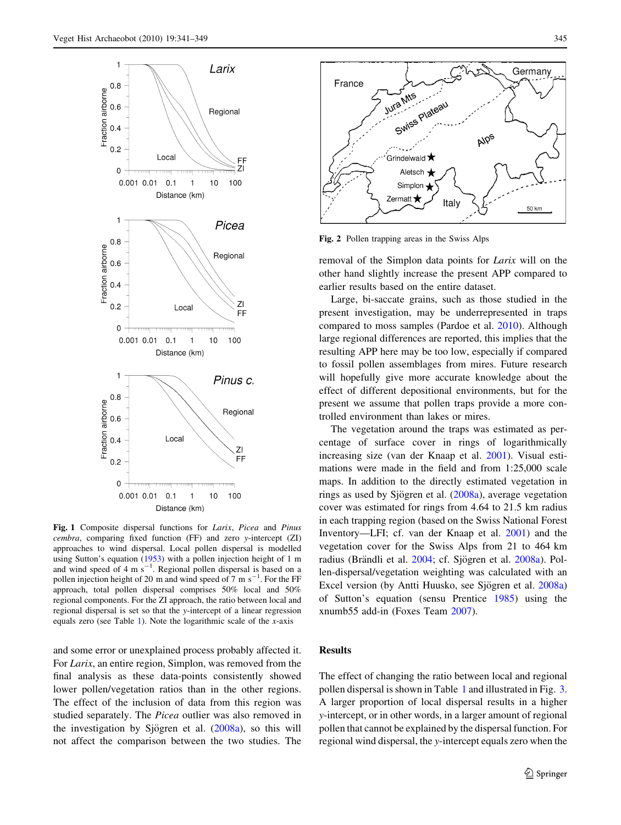<span id="page-4-0"></span>

Fig. 1 Composite dispersal functions for Larix, Picea and Pinus cembra, comparing fixed function (FF) and zero y-intercept (ZI) approaches to wind dispersal. Local pollen dispersal is modelled using Sutton's equation [\(1953\)](#page-8-0) with a pollen injection height of 1 m and wind speed of  $4 \text{ m s}^{-1}$ . Regional pollen dispersal is based on a pollen injection height of 20 m and wind speed of 7 m  $s^{-1}$ . For the FF approach, total pollen dispersal comprises 50% local and 50% regional components. For the ZI approach, the ratio between local and regional dispersal is set so that the y-intercept of a linear regression equals zero (see Table [1\)](#page-3-0). Note the logarithmic scale of the  $x$ -axis

and some error or unexplained process probably affected it. For Larix, an entire region, Simplon, was removed from the final analysis as these data-points consistently showed lower pollen/vegetation ratios than in the other regions. The effect of the inclusion of data from this region was studied separately. The Picea outlier was also removed in the investigation by Sjögren et al.  $(2008a)$  $(2008a)$ , so this will not affect the comparison between the two studies. The



Fig. 2 Pollen trapping areas in the Swiss Alps

removal of the Simplon data points for Larix will on the other hand slightly increase the present APP compared to earlier results based on the entire dataset.

Large, bi-saccate grains, such as those studied in the present investigation, may be underrepresented in traps compared to moss samples (Pardoe et al. [2010](#page-8-0)). Although large regional differences are reported, this implies that the resulting APP here may be too low, especially if compared to fossil pollen assemblages from mires. Future research will hopefully give more accurate knowledge about the effect of different depositional environments, but for the present we assume that pollen traps provide a more controlled environment than lakes or mires.

The vegetation around the traps was estimated as percentage of surface cover in rings of logarithmically increasing size (van der Knaap et al. [2001\)](#page-8-0). Visual estimations were made in the field and from 1:25,000 scale maps. In addition to the directly estimated vegetation in rings as used by Sjögren et al.  $(2008a)$  $(2008a)$ , average vegetation cover was estimated for rings from 4.64 to 21.5 km radius in each trapping region (based on the Swiss National Forest Inventory—LFI; cf. van der Knaap et al. [2001](#page-8-0)) and the vegetation cover for the Swiss Alps from 21 to 464 km radius (Brändli et al. [2004](#page-7-0); cf. Sjögren et al. [2008a](#page-8-0)). Pollen-dispersal/vegetation weighting was calculated with an Excel version (by Antti Huusko, see Sjögren et al. [2008a\)](#page-8-0) of Sutton's equation (sensu Prentice [1985\)](#page-8-0) using the xnumb55 add-in (Foxes Team [2007\)](#page-7-0).

# Results

The effect of changing the ratio between local and regional pollen dispersal is shown in Table [1](#page-3-0) and illustrated in Fig. [3.](#page-5-0) A larger proportion of local dispersal results in a higher y-intercept, or in other words, in a larger amount of regional pollen that cannot be explained by the dispersal function. For regional wind dispersal, the y-intercept equals zero when the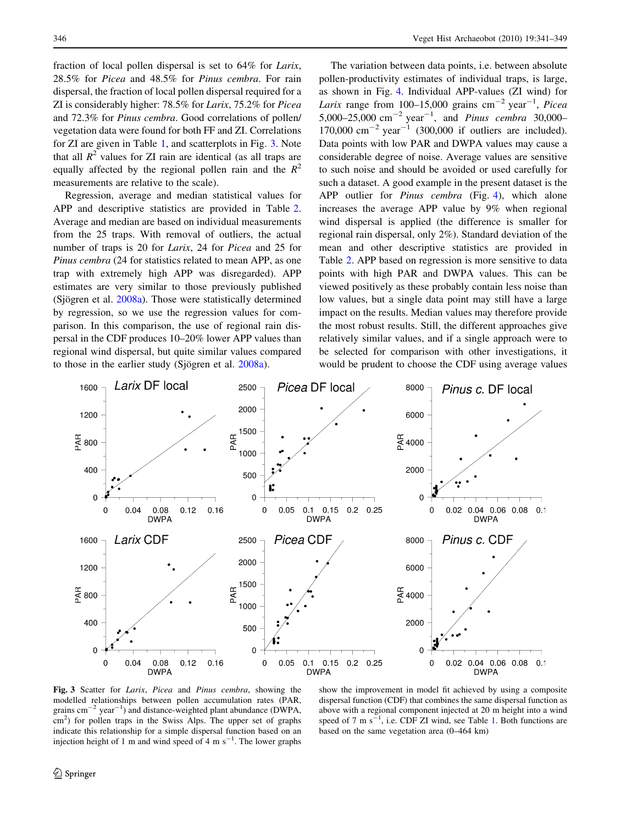<span id="page-5-0"></span>fraction of local pollen dispersal is set to 64% for Larix, 28.5% for Picea and 48.5% for Pinus cembra. For rain dispersal, the fraction of local pollen dispersal required for a ZI is considerably higher: 78.5% for Larix, 75.2% for Picea and 72.3% for Pinus cembra. Good correlations of pollen/ vegetation data were found for both FF and ZI. Correlations for ZI are given in Table [1](#page-3-0), and scatterplots in Fig. 3. Note that all  $R^2$  values for ZI rain are identical (as all traps are equally affected by the regional pollen rain and the  $R^2$ measurements are relative to the scale).

Regression, average and median statistical values for APP and descriptive statistics are provided in Table [2.](#page-6-0) Average and median are based on individual measurements from the 25 traps. With removal of outliers, the actual number of traps is 20 for *Larix*, 24 for *Picea* and 25 for Pinus cembra (24 for statistics related to mean APP, as one trap with extremely high APP was disregarded). APP estimates are very similar to those previously published (Sjögren et al.  $2008a$ ). Those were statistically determined by regression, so we use the regression values for comparison. In this comparison, the use of regional rain dispersal in the CDF produces 10–20% lower APP values than regional wind dispersal, but quite similar values compared to those in the earlier study (Sjögren et al.  $2008a$ ).

The variation between data points, i.e. between absolute pollen-productivity estimates of individual traps, is large, as shown in Fig. [4.](#page-6-0) Individual APP-values (ZI wind) for Larix range from 100-15,000 grains  $cm^{-2}$  year<sup>-1</sup>, Picea 5,000–25,000 cm<sup>-2</sup> year<sup>-1</sup>, and *Pinus cembra* 30,000–  $170,000 \text{ cm}^{-2} \text{ year}^{-1}$  (300,000 if outliers are included). Data points with low PAR and DWPA values may cause a considerable degree of noise. Average values are sensitive to such noise and should be avoided or used carefully for such a dataset. A good example in the present dataset is the APP outlier for *Pinus cembra* (Fig. [4\)](#page-6-0), which alone increases the average APP value by 9% when regional wind dispersal is applied (the difference is smaller for regional rain dispersal, only 2%). Standard deviation of the mean and other descriptive statistics are provided in Table [2](#page-6-0). APP based on regression is more sensitive to data points with high PAR and DWPA values. This can be viewed positively as these probably contain less noise than low values, but a single data point may still have a large impact on the results. Median values may therefore provide the most robust results. Still, the different approaches give relatively similar values, and if a single approach were to be selected for comparison with other investigations, it would be prudent to choose the CDF using average values



Fig. 3 Scatter for Larix, Picea and Pinus cembra, showing the modelled relationships between pollen accumulation rates (PAR, grains  $\text{cm}^{-2}$  year<sup>-1</sup>) and distance-weighted plant abundance (DWPA, cm<sup>2</sup>) for pollen traps in the Swiss Alps. The upper set of graphs indicate this relationship for a simple dispersal function based on an injection height of 1 m and wind speed of 4 m  $s^{-1}$ . The lower graphs

show the improvement in model fit achieved by using a composite dispersal function (CDF) that combines the same dispersal function as above with a regional component injected at 20 m height into a wind speed of 7 m  $s^{-1}$  $s^{-1}$  $s^{-1}$ , i.e. CDF ZI wind, see Table 1. Both functions are based on the same vegetation area (0–464 km)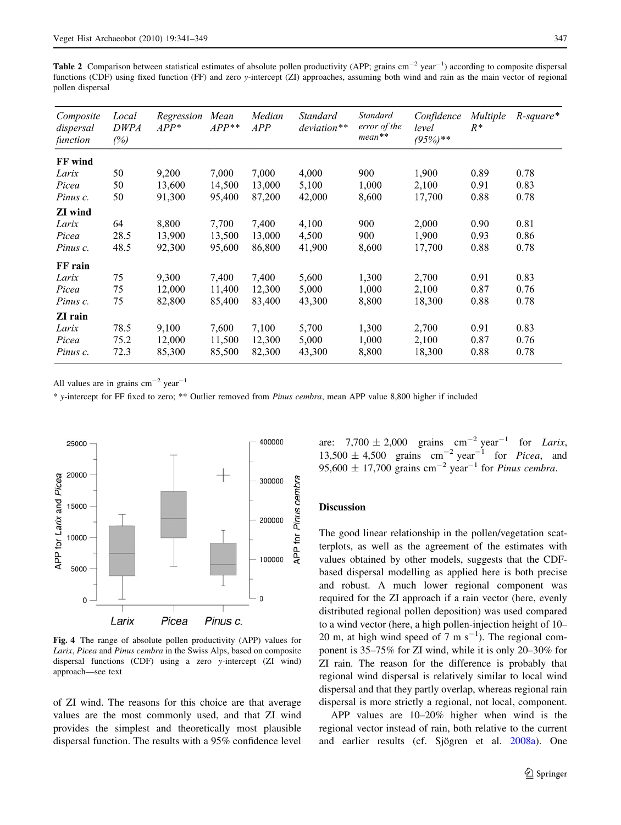<span id="page-6-0"></span>**Table 2** Comparison between statistical estimates of absolute pollen productivity (APP; grains  $\text{cm}^{-2}$  year<sup>-1</sup>) according to composite dispersal functions (CDF) using fixed function (FF) and zero y-intercept (ZI) approaches, assuming both wind and rain as the main vector of regional pollen dispersal

| Composite<br>dispersal<br>function | Local<br><i>DWPA</i><br>(%) | Regression<br>$APP*$ | Mean<br>$APP**$ | Median<br><b>APP</b> | <i>Standard</i><br>$deviation**$ | <b>Standard</b><br>error of the<br>$mean**$ | Confidence<br>level<br>$(95%)$ ** | <b>Multiple</b><br>$R^*$ | $R$ -square* |
|------------------------------------|-----------------------------|----------------------|-----------------|----------------------|----------------------------------|---------------------------------------------|-----------------------------------|--------------------------|--------------|
| FF wind                            |                             |                      |                 |                      |                                  |                                             |                                   |                          |              |
| Larix                              | 50                          | 9,200                | 7.000           | 7.000                | 4,000                            | 900                                         | 1.900                             | 0.89                     | 0.78         |
| Picea                              | 50                          | 13,600               | 14,500          | 13,000               | 5,100                            | 1.000                                       | 2,100                             | 0.91                     | 0.83         |
| Pinus c.                           | 50                          | 91,300               | 95,400          | 87,200               | 42,000                           | 8,600                                       | 17,700                            | 0.88                     | 0.78         |
| <b>ZI</b> wind                     |                             |                      |                 |                      |                                  |                                             |                                   |                          |              |
| Larix                              | 64                          | 8.800                | 7.700           | 7,400                | 4.100                            | 900                                         | 2,000                             | 0.90                     | 0.81         |
| Picea                              | 28.5                        | 13,900               | 13,500          | 13,000               | 4,500                            | 900                                         | 1,900                             | 0.93                     | 0.86         |
| Pinus c.                           | 48.5                        | 92,300               | 95,600          | 86,800               | 41,900                           | 8,600                                       | 17,700                            | 0.88                     | 0.78         |
| FF rain                            |                             |                      |                 |                      |                                  |                                             |                                   |                          |              |
| Larix                              | 75                          | 9,300                | 7,400           | 7,400                | 5,600                            | 1,300                                       | 2,700                             | 0.91                     | 0.83         |
| Picea                              | 75                          | 12,000               | 11,400          | 12,300               | 5,000                            | 1,000                                       | 2,100                             | 0.87                     | 0.76         |
| Pinus c.                           | 75                          | 82,800               | 85,400          | 83,400               | 43,300                           | 8,800                                       | 18,300                            | 0.88                     | 0.78         |
| ZI rain                            |                             |                      |                 |                      |                                  |                                             |                                   |                          |              |
| Larix                              | 78.5                        | 9,100                | 7,600           | 7,100                | 5,700                            | 1,300                                       | 2,700                             | 0.91                     | 0.83         |
| Picea                              | 75.2                        | 12,000               | 11,500          | 12,300               | 5,000                            | 1,000                                       | 2,100                             | 0.87                     | 0.76         |
| Pinus c.                           | 72.3                        | 85,300               | 85,500          | 82,300               | 43,300                           | 8,800                                       | 18,300                            | 0.88                     | 0.78         |

All values are in grains  $cm^{-2}$  year<sup>-1</sup>

\* y-intercept for FF fixed to zero; \*\* Outlier removed from Pinus cembra, mean APP value 8,800 higher if included



Fig. 4 The range of absolute pollen productivity (APP) values for Larix, Picea and Pinus cembra in the Swiss Alps, based on composite dispersal functions (CDF) using a zero y-intercept (ZI wind) approach—see text

of ZI wind. The reasons for this choice are that average values are the most commonly used, and that ZI wind provides the simplest and theoretically most plausible dispersal function. The results with a 95% confidence level are:  $7,700 \pm 2,000$  grains  $cm^{-2}$  year<sup>-1</sup> for *Larix*,  $13,500 \pm 4,500$  grains  $cm^{-2}$  year<sup>-1</sup> for *Picea*, and 95,600  $\pm$  17,700 grains cm<sup>-2</sup> year<sup>-1</sup> for *Pinus cembra*.

## Discussion

The good linear relationship in the pollen/vegetation scatterplots, as well as the agreement of the estimates with values obtained by other models, suggests that the CDFbased dispersal modelling as applied here is both precise and robust. A much lower regional component was required for the ZI approach if a rain vector (here, evenly distributed regional pollen deposition) was used compared to a wind vector (here, a high pollen-injection height of 10– 20 m, at high wind speed of 7 m  $s^{-1}$ ). The regional component is 35–75% for ZI wind, while it is only 20–30% for ZI rain. The reason for the difference is probably that regional wind dispersal is relatively similar to local wind dispersal and that they partly overlap, whereas regional rain dispersal is more strictly a regional, not local, component.

APP values are 10–20% higher when wind is the regional vector instead of rain, both relative to the current and earlier results (cf. Sjögren et al. [2008a\)](#page-8-0). One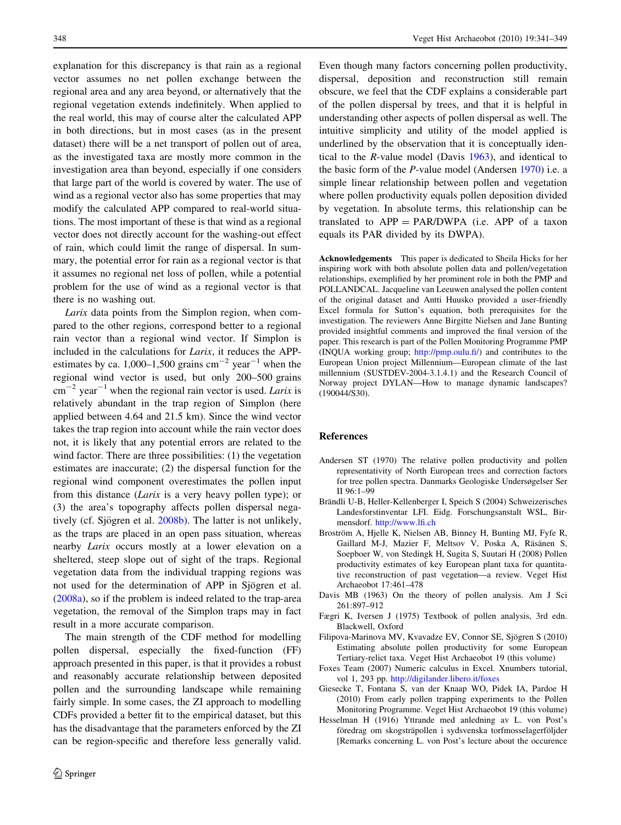<span id="page-7-0"></span>explanation for this discrepancy is that rain as a regional vector assumes no net pollen exchange between the regional area and any area beyond, or alternatively that the regional vegetation extends indefinitely. When applied to the real world, this may of course alter the calculated APP in both directions, but in most cases (as in the present dataset) there will be a net transport of pollen out of area, as the investigated taxa are mostly more common in the investigation area than beyond, especially if one considers that large part of the world is covered by water. The use of wind as a regional vector also has some properties that may modify the calculated APP compared to real-world situations. The most important of these is that wind as a regional vector does not directly account for the washing-out effect of rain, which could limit the range of dispersal. In summary, the potential error for rain as a regional vector is that it assumes no regional net loss of pollen, while a potential problem for the use of wind as a regional vector is that there is no washing out.

Larix data points from the Simplon region, when compared to the other regions, correspond better to a regional rain vector than a regional wind vector. If Simplon is included in the calculations for Larix, it reduces the APPestimates by ca. 1,000–1,500 grains  $cm^{-2}$  year<sup>-1</sup> when the regional wind vector is used, but only 200–500 grains  $\text{cm}^{-2}$  year<sup>-1</sup> when the regional rain vector is used. *Larix* is relatively abundant in the trap region of Simplon (here applied between 4.64 and 21.5 km). Since the wind vector takes the trap region into account while the rain vector does not, it is likely that any potential errors are related to the wind factor. There are three possibilities: (1) the vegetation estimates are inaccurate; (2) the dispersal function for the regional wind component overestimates the pollen input from this distance (*Larix* is a very heavy pollen type); or (3) the area's topography affects pollen dispersal nega-tively (cf. Sjögren et al. [2008b](#page-8-0)). The latter is not unlikely, as the traps are placed in an open pass situation, whereas nearby Larix occurs mostly at a lower elevation on a sheltered, steep slope out of sight of the traps. Regional vegetation data from the individual trapping regions was not used for the determination of APP in Sjögren et al. [\(2008a\)](#page-8-0), so if the problem is indeed related to the trap-area vegetation, the removal of the Simplon traps may in fact result in a more accurate comparison.

The main strength of the CDF method for modelling pollen dispersal, especially the fixed-function (FF) approach presented in this paper, is that it provides a robust and reasonably accurate relationship between deposited pollen and the surrounding landscape while remaining fairly simple. In some cases, the ZI approach to modelling CDFs provided a better fit to the empirical dataset, but this has the disadvantage that the parameters enforced by the ZI can be region-specific and therefore less generally valid. Even though many factors concerning pollen productivity, dispersal, deposition and reconstruction still remain obscure, we feel that the CDF explains a considerable part of the pollen dispersal by trees, and that it is helpful in understanding other aspects of pollen dispersal as well. The intuitive simplicity and utility of the model applied is underlined by the observation that it is conceptually identical to the R-value model (Davis 1963), and identical to the basic form of the P-value model (Andersen 1970) i.e. a simple linear relationship between pollen and vegetation where pollen productivity equals pollen deposition divided by vegetation. In absolute terms, this relationship can be translated to APP = PAR/DWPA (i.e. APP of a taxon equals its PAR divided by its DWPA).

Acknowledgements This paper is dedicated to Sheila Hicks for her inspiring work with both absolute pollen data and pollen/vegetation relationships, exemplified by her prominent role in both the PMP and POLLANDCAL. Jacqueline van Leeuwen analysed the pollen content of the original dataset and Antti Huusko provided a user-friendly Excel formula for Sutton's equation, both prerequisites for the investigation. The reviewers Anne Birgitte Nielsen and Jane Bunting provided insightful comments and improved the final version of the paper. This research is part of the Pollen Monitoring Programme PMP (INQUA working group; <http://pmp.oulu.fi/>) and contributes to the European Union project Millennium—European climate of the last millennium (SUSTDEV-2004-3.1.4.1) and the Research Council of Norway project DYLAN—How to manage dynamic landscapes? (190044/S30).

### References

- Andersen ST (1970) The relative pollen productivity and pollen representativity of North European trees and correction factors for tree pollen spectra. Danmarks Geologiske Undersøgelser Ser II 96:1–99
- Brändli U-B, Heller-Kellenberger I, Speich S (2004) Schweizerisches Landesforstinventar LFI. Eidg. Forschungsanstalt WSL, Birmensdorf. <http://www.lfi.ch>
- Broström A, Hjelle K, Nielsen AB, Binney H, Bunting MJ, Fyfe R, Gaillard M-J, Mazier F, Meltsov V, Poska A, Räsänen S, Soepboer W, von Stedingk H, Sugita S, Suutari H (2008) Pollen productivity estimates of key European plant taxa for quantitative reconstruction of past vegetation—a review. Veget Hist Archaeobot 17:461–478
- Davis MB (1963) On the theory of pollen analysis. Am J Sci 261:897–912
- Fægri K, Iversen J (1975) Textbook of pollen analysis, 3rd edn. Blackwell, Oxford
- Filipova-Marinova MV, Kvavadze EV, Connor SE, Sjögren S (2010) Estimating absolute pollen productivity for some European Tertiary-relict taxa. Veget Hist Archaeobot 19 (this volume)
- Foxes Team (2007) Numeric calculus in Excel. Xnumbers tutorial, vol 1, 293 pp. <http://digilander.libero.it/foxes>
- Giesecke T, Fontana S, van der Knaap WO, Pidek IA, Pardoe H (2010) From early pollen trapping experiments to the Pollen Monitoring Programme. Veget Hist Archaeobot 19 (this volume)
- Hesselman H (1916) Yttrande med anledning av L. von Post's föredrag om skogsträpollen i sydsvenska torfmosselagerföljder [Remarks concerning L. von Post's lecture about the occurence